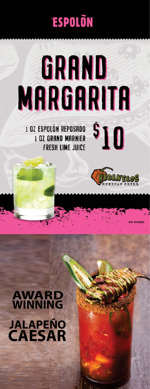# **ESPOLON**

# GRAND **MARGARITA**

**1 OZ ESPOLÓN REPOSADO 1 OZ GRAND MARNIER FRESH LIME JUICE** 



 $\mathbf{^{s}10}$ 

# **AWARD WINNING CAESAR JALAPEÑO**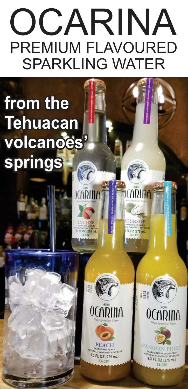# OCARINA PREMIUM FLAVOURED SPARKLING WATER

OCARIN<sub>f</sub>

HEE

ITLOZ (275 mL

## **from the Tehuacan volcanoes' springs** K



9.3 FL OZ (275 mL)

**CARINA** 

**OURSOP** 

FL 0Z (275 mL



ASSION FRUI **PARKLING PASSION FRU** 9.3 FL OZ (275 mL) **CA CRV**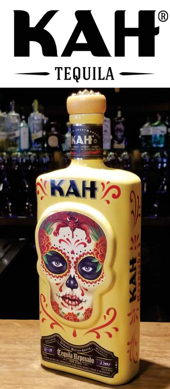

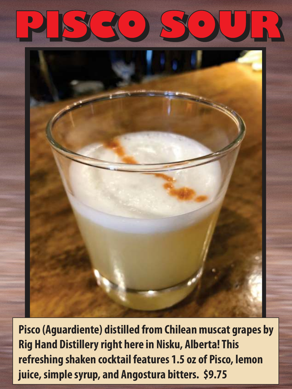



**Pisco (Aguardiente) distilled from Chilean muscat grapes by Rig Hand Distillery right here in Nisku, Alberta! This refreshing shaken cocktail features 1.5 oz of Pisco, lemon juice, simple syrup, and Angostura bitters. \$9.75**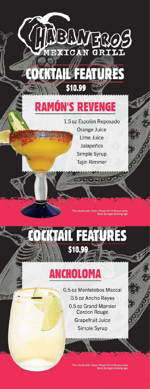

NBLWERC

# **RAMÓN'S REVENGE**

1.5 oz Espolòn Reposado Orange Juice Lime Juice Jalapeños Simple Syrup Tajín Rimmer

> Applicable Taxes, Plea e Drink Responsibly<br>In Jacol drinking age

**EKTAIL FEATURES** \$10.99

### ANCHOLOMA

HII v<del>in Ili</del>

0.5 oz Montelobos Mezcal 0.5 oz Ancho Reves 0.5 oz Grand Marnier **Cordon Rouge Grapefruit Juice** Simple Syrup

Plus Applicable Taxes. Please Drink Responsibly<br>Must be legal drinking age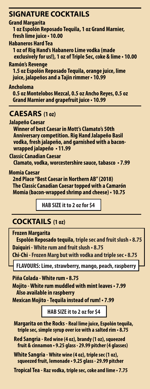### **SIGNATURE COCKTAILS**

### **Grand Margarita**

 **1 oz Espolón Reposado Tequila, 1 oz Grand Marnier, fresh lime juice • 10.00**

**Habaneros Hard Tea**

 **1 oz of Rig Hand's Habanero Lime vodka (made exclusively for us!), 1 oz of Triple Sec, coke & lime • 10.00**

### **Ramón's Revenge**

 **1.5 oz Espolón Reposado Tequila, orange juice, lime juice, jalapeños and a Tajin rimmer • 10.99**

### **Ancholoma**

 **0.5 oz Montelobos Mezcal, 0.5 oz Ancho Reyes, 0.5 oz Grand Marnier and grapefruit juice • 10.99**

### **CAESARS (1 oz)**

**Jalapeño Caesar Winner of best Caesar in Mott's Clamato's 50th Anniversary competition. Rig Hand Jalapeño Basil vodka, fresh jalapeño, and garnished with a bacon wrapped jalapeño • 11.99**

**Classic Canadian Caesar Clamato, vodka, worcestershire sauce, tabasco • 7.99** 

**Momia Caesar**

 **2nd Place "Best Caesar in Northern AB" (2018) The Classic Canadian Caesar topped with a Camarón Momia (bacon-wrapped shrimp and cheese) • 10.75**

**HAB SIZE it to 2 oz for \$4**

### **COCKTAILS (1 oz)**

**Frozen Margarita**

 **Espolón Reposado tequila, triple sec and fruit slush • 8.75 Daiquiri - White rum and fruit slush • 8.75**

**Chi-Chi - Frozen Marg but with vodka and triple sec • 8.75**

**FLAVOURS: Lime, strawberry, mango, peach, raspberry**

**Piña Colada - White rum • 8.75 Mojito - White rum muddled with mint leaves • 7.99 Also available in raspberry**

**Mexican Mojito - Tequila instead of rum! • 7.99**

**HAB SIZE it to 2 oz for \$4**

- **Margarita on the Rocks Real lime juice, Espolón tequila, triple sec, simple syrup over ice with a salted rim • 8.75**
- **Red Sangria Red wine (4 oz), brandy (1 oz), squeezed fruit & cinnamon • 9.25 glass ∙ 29.99 pitcher (4 glasses)**

**White Sangria - White wine (4 oz), triple sec (1 oz), squeezed fruit, lemonade • 9.25 glass ∙ 29.99 pitcher**

**Tropical Tea - Raz vodka, triple sec, coke and lime • 7.75**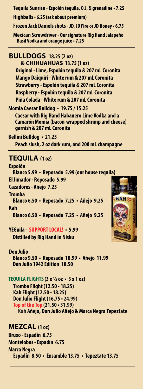**Tequila Sunrise - Espolón tequila, O.J. & grenadine • 7.25 Highballs - 6.25 (ask about premium)** 

**Frozen Jack Daniels shots - JD, JD Fire or JD Honey • 6.75**

**Mexican Screwdriver - Our signature Rig Hand Jalapeño Basil Vodka and orange juice • 7.25**

### **BULLDOGS 18.25 (2 oz)**

 **& CHIHUAHUAS 13.75 (1 oz) Original - Lime, Espolón tequila & 207 mL Coronita Mango Daiquiri - White rum & 207 mL Coronita Strawberry - Espolón tequila & 207 mL Coronita Raspberry - Espolón tequila & 207 mL Coronita Piña Colada - White rum & 207 mL Coronita**

**Momia Caesar Bulldog • 19.75 / 15.25 Caesar with Rig Hand Habanero Lime Vodka and a Camarón Momia (bacon-wrapped shrimp and cheese) garnish & 207 mL Coronita**

**Bellini Bulldog • 21.25 Peach slush, 2 oz dark rum, and 200 mL champagne**

### **TEQUILA (1 oz)**

**Espolón Blanco 5.99 • Reposado 5.99 (our house tequila) El Jimador - Reposado 5.99 Cazadores - Añejo 7.25 Tromba Blanco 6.50 • Reposado 7.25 • Añejo 9.25 Kah Blanco 6.50 • Reposado 7.25 • Añejo 9.25**

### **YEGuila - SUPPORT LOCAL! - 5.99**

 **Distilled by Rig Hand in Nisku**

### **Don Julio**

 **Blanco 9.50 • Reposado 10.99 • Añejo 11.99 Don Julio 1942 Edition 18.50**

### **TEQUILA FLIGHTS(3 x ½ oz • 3 x 1 oz)**

 **Tromba Flight (12.50 • 18.25) Kah Flight (12.50 • 18.25) Don Julio Flight (16.75 • 24.99) 31.99) Top of the Top (21.50 • Kah Añejo, Don Julio Añejo & Marca Negra Tepeztate**

### **MEZCAL (1 oz)**

**Bruxo - Espadín 6.75 Montelobos - Espadín 6.75 Marca Negra Espadín 8.50 • Ensamble 13.75 • Tepeztate 13.75**

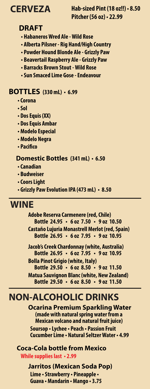**CERVEZA Hab-sized Pint (18 oz!!) • 8.50 Pitcher (56 oz) • 22.99**

### **DRAFT**

- **Habaneros Wred Ale Wild Rose**
- **Alberta Pilsner Rig Hand/High Country**
- **Powder Hound Blonde Ale Grizzly Paw**
- **Beavertail Raspberry Ale Grizzly Paw**
- **Barracks Brown Stout Wild Rose •**
- **Sun Smaced Lime Gose Endeavour**

### **BOTTLES (330 mL) • 6.99**

- **Corona**
- **Sol**
- **Dos Equis (XX)**
- **Dos Equis Ambar**
- **Modelo Especial**
- **Modelo Negra**
- **Pacifico**

### **Domestic Bottles (341 mL) • 6.50**

- **Canadian**
- **Budweiser**
- **Coors Light**
- **Grizzly Paw Evolution IPA (473 mL) 8.50**

### **WINE**

**Adobe Reserva Carmenere (red, Chile) Bottle 24.95 • 6 oz 7.50 • 9 oz 10.50 Castaño Lujuria Monastrell Merlot (red, Spain) Bottle 26.95 • 6 oz 7.95 • 9 oz 10.95**

**Jacob's Creek Chardonnay (white, Australia) Bottle 26.95 • 6 oz 7.95 • 9 oz 10.95 Bolla Pinot Grigio (white, Italy) Bottle 29.50 • 6 oz 8.50 • 9 oz 11.50 Matua Sauvignon Blanc (white, New Zealand) Bottle 29.50 • 6 oz 8.50 • 9 oz 11.50** 

### **NON-ALCOHOLIC DRINKS**

**Ocarina Premium Sparkling Water (made with natural spring water from a Mexican volcano and natural fruit juice) Soursop • Lychee • Peach • Passion Fruit Cucumber Lime • Natural Seltzer Water • 4.99** 

### **Coca-Cola bottle from Mexico While supplies last • 2.99**

**Jarritos (Mexican Soda Pop) Lime • Strawberry • Pineapple • Guava • Mandarin • Mango • 3.75**